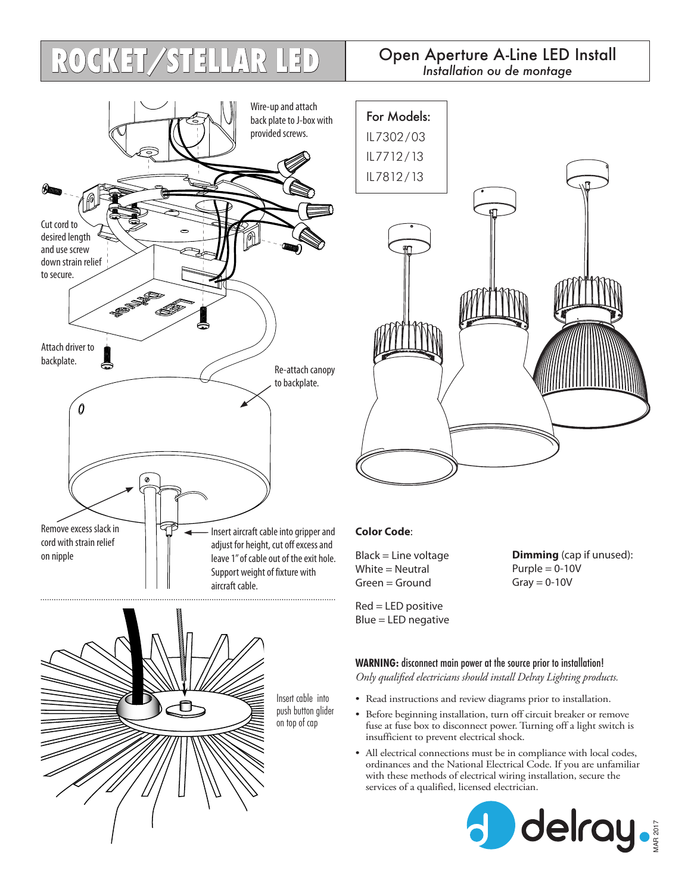## Open Aperture A-Line LED Install **ROCKET/STELLAR LED** *Installation ou de montage*







## **Color Code**:

Black = Line voltage White = Neutral Green = Ground

Red = LED positive Blue = LED negative **Dimming** (cap if unused):  $P$ urple = 0-10V  $Gray = 0-10V$ 

**WARNING:** disconnect main power at the source prior to installation!

*Only qualified electricians should install Delray Lighting products.*

- Read instructions and review diagrams prior to installation.
- Before beginning installation, turn off circuit breaker or remove fuse at fuse box to disconnect power. Turning off a light switch is insufficient to prevent electrical shock.
- All electrical connections must be in compliance with local codes, ordinances and the National Electrical Code. If you are unfamiliar with these methods of electrical wiring installation, secure the services of a qualified, licensed electrician.